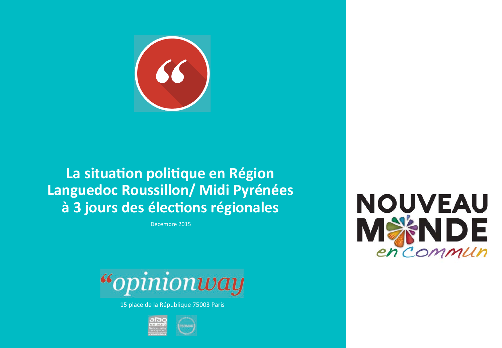

### La situation politique en Région Languedoc Roussillon/ Midi Pyrénées à 3 jours des élections régionales

Décembre 2015



15 place de la République 75003 Paris



**NOUVEAU M** SK NDE en Commun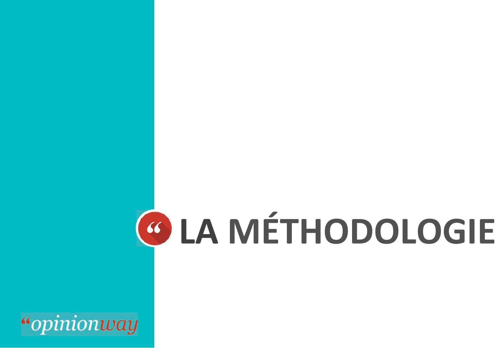

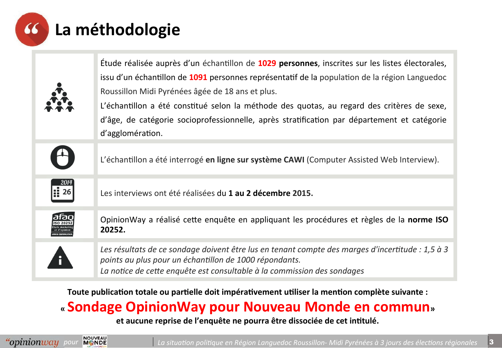# La méthodologie

66

|                | Étude réalisée auprès d'un échantillon de 1029 personnes, inscrites sur les listes électorales,<br>issu d'un échantillon de 1091 personnes représentatif de la population de la région Languedoc<br>Roussillon Midi Pyrénées âgée de 18 ans et plus.<br>L'échantillon a été constitué selon la méthode des quotas, au regard des critères de sexe,<br>d'âge, de catégorie socioprofessionnelle, après stratification par département et catégorie<br>d'agglomération. |
|----------------|-----------------------------------------------------------------------------------------------------------------------------------------------------------------------------------------------------------------------------------------------------------------------------------------------------------------------------------------------------------------------------------------------------------------------------------------------------------------------|
|                | L'échantillon a été interrogé en ligne sur système CAWI (Computer Assisted Web Interview).                                                                                                                                                                                                                                                                                                                                                                            |
| $\frac{1}{26}$ | Les interviews ont été réalisées du 1 au 2 décembre 2015.                                                                                                                                                                                                                                                                                                                                                                                                             |
|                | OpinionWay a réalisé cette enquête en appliquant les procédures et règles de la norme ISO<br>20252.                                                                                                                                                                                                                                                                                                                                                                   |
|                | Les résultats de ce sondage doivent être lus en tenant compte des marges d'incertitude : 1,5 à 3<br>points au plus pour un échantillon de 1000 répondants.<br>La notice de cette enquête est consultable à la commission des sondages                                                                                                                                                                                                                                 |

Toute publication totale ou partielle doit impérativement utiliser la mention complète suivante :

#### «Sondage OpinionWay pour Nouveau Monde en commun»

et aucune reprise de l'enquête ne pourra être dissociée de cet intitulé.

La situation politique en Région Languedoc Roussillon- Midi Pyrénées à 3 jours des élections régionales  $\vert 3 \vert$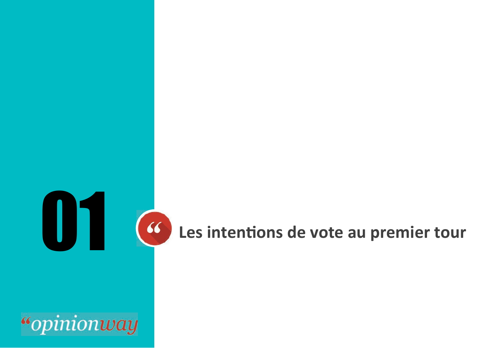

# Les intentions de vote au premier tour

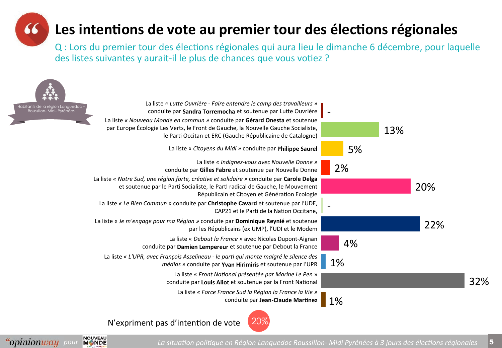Q : Lors du premier tour des élections régionales qui aura lieu le dimanche 6 décembre, pour laquelle des listes suivantes y aurait-il le plus de chances que vous votiez ?





N'expriment pas d'intention de vote

**NOUVEAU** 

**MWNDE** 

pour

"opinionway

 $66$ 

La situation politique en Région Languedoc Roussillon- Midi Pyrénées à 3 jours des élections régionales

5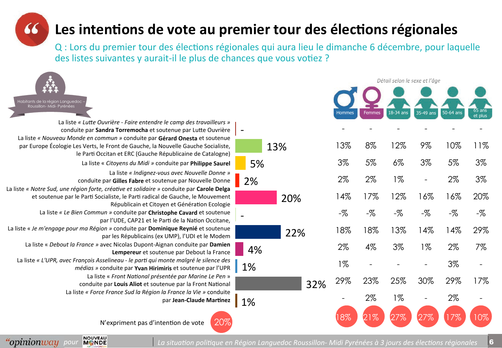"

**NOUVEAU** 

**MANDE** 

"opinionway pour

#### Les intentions de vote au premier tour des élections régionales

Q : Lors du premier tour des élections régionales qui aura lieu le dimanche 6 décembre, pour laquelle des listes suivantes y aurait-il le plus de chances que vous votiez ?

|                                                                                                                                                                                                                                |    |     |     |        |               | Detail selon le sexe et l'age |                          |           |                     |
|--------------------------------------------------------------------------------------------------------------------------------------------------------------------------------------------------------------------------------|----|-----|-----|--------|---------------|-------------------------------|--------------------------|-----------|---------------------|
| Habitants de la région Languedoc -<br>Roussillon-Midi-Pyrénées                                                                                                                                                                 |    |     |     |        |               |                               |                          |           |                     |
|                                                                                                                                                                                                                                |    |     |     | Hommes | <b>Femmes</b> | 18-34 ans                     | 35-49 ans                | 50-64 ans | $65$ ans<br>et plus |
| La liste « Lutte Ouvrière - Faire entendre le camp des travailleurs »<br>conduite par Sandra Torremocha et soutenue par Lutte Ouvrière                                                                                         |    |     |     |        |               |                               |                          |           |                     |
| La liste « Nouveau Monde en commun » conduite par Gérard Onesta et soutenue<br>par Europe Écologie Les Verts, le Front de Gauche, la Nouvelle Gauche Socialiste,<br>le Parti Occitan et ERC (Gauche Républicaine de Catalogne) |    | 13% |     | 13%    | 8%            | 12%                           | 9%                       | 10%       | 11%                 |
| La liste « Citoyens du Midi » conduite par Philippe Saurel                                                                                                                                                                     | 5% |     |     | 3%     | 5%            | $6\%$                         | 3%                       | 5%        | 3%                  |
| La liste « Indignez-vous avec Nouvelle Donne »<br>conduite par Gilles Fabre et soutenue par Nouvelle Donne                                                                                                                     | 2% |     |     | 2%     | 2%            | $1\%$                         | $\overline{\phantom{a}}$ | 2%        | 3%                  |
| La liste « Notre Sud, une région forte, créative et solidaire » conduite par Carole Delga<br>et soutenue par le Parti Socialiste, le Parti radical de Gauche, le Mouvement<br>Républicain et Citoyen et Génération Ecologie    |    | 20% |     | 14%    | 17%           | 12%                           | 16%                      | 16%       | 20%                 |
| La liste « Le Bien Commun » conduite par Christophe Cavard et soutenue<br>par l'UDE, CAP21 et le Parti de la Nation Occitane,                                                                                                  |    |     |     | $-\%$  | $-$ %         | $-\%$                         | $-$ %                    | -%        | $-$ %               |
| La liste « Je m'engage pour ma Région » conduite par Dominique Reynié et soutenue<br>par les Républicains (ex UMP), l'UDI et le Modem                                                                                          |    | 22% |     | 18%    | 18%           | 13%                           | l 4%                     | 14%       | 29%                 |
| La liste « Debout la France » avec Nicolas Dupont-Aignan conduite par Damien<br>Lempereur et soutenue par Debout la France                                                                                                     | 4% |     |     | 2%     | 4%            | 3%                            | $1\%$                    | 2%        | $7\%$               |
| La liste « L'UPR, avec François Asselineau - le parti qui monte malgré le silence des<br>médias » conduite par Yvan Hirimiris et soutenue par l'UPR                                                                            | 1% |     |     | $1\%$  |               |                               |                          | 3%        |                     |
| La liste « Front National présentée par Marine Le Pen »<br>conduite par Louis Aliot et soutenue par la Front National                                                                                                          |    |     | 32% | 29%    | 23%           | 25%                           | 30%                      | 29%       | 17%                 |
| La liste « Force France Sud la Région la France la Vie » conduite<br>par Jean-Claude Martinez                                                                                                                                  | 1% |     |     |        | 2%            | $1\%$                         | $\overline{\phantom{a}}$ | 2%        |                     |
| 20%<br>N'expriment pas d'intention de vote                                                                                                                                                                                     |    |     |     | 18%    | 21%           | 27%                           | 27%                      | 17%       | 10%                 |

La situation politique en Région Languedoc Roussillon- Midi Pyrénées à 3 jours des élections régionales

 $\sim$   $\sim$   $\sim$   $\sim$   $\sim$   $\sim$ 

 $\cdot$   $\cdot$ 

 $\vert 6$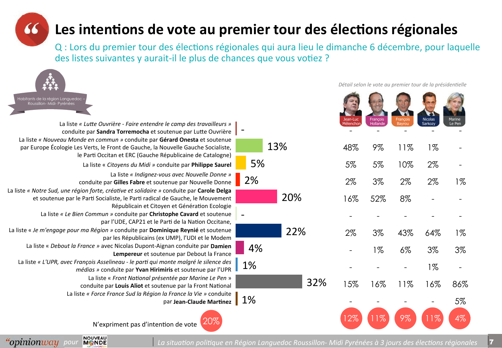66

### Les intentions de vote au premier tour des élections régionales

Q : Lors du premier tour des élections régionales qui aura lieu le dimanche 6 décembre, pour laquelle des listes suivantes y aurait-il le plus de chances que vous votiez ?

|                                                                                                                                                                                                                                |    |     |                       |                      |                    | Détail selon le vote au premier tour de la présidentielle |                  |
|--------------------------------------------------------------------------------------------------------------------------------------------------------------------------------------------------------------------------------|----|-----|-----------------------|----------------------|--------------------|-----------------------------------------------------------|------------------|
| Habitants de la région Languedoc -<br>Roussillon- Midi- Pyrénées                                                                                                                                                               |    |     |                       |                      |                    |                                                           |                  |
| La liste « Lutte Ouvrière - Faire entendre le camp des travailleurs »<br>conduite par Sandra Torremocha et soutenue par Lutte Ouvrière                                                                                         |    |     | lean-Luc<br>1élenchon | François<br>Hollande | François<br>Bayrou | Nicolas<br>Sarkozy                                        | Marine<br>Le Pen |
| La liste « Nouveau Monde en commun » conduite par Gérard Onesta et soutenue<br>par Europe Écologie Les Verts, le Front de Gauche, la Nouvelle Gauche Socialiste,<br>le Parti Occitan et ERC (Gauche Républicaine de Catalogne) |    | 13% | 48%                   | 9%                   | 11%                | $1\%$                                                     |                  |
| La liste « Citoyens du Midi » conduite par Philippe Saurel                                                                                                                                                                     | 5% |     | 5%                    | 5%                   | 10%                | $2\%$                                                     |                  |
| La liste « Indignez-vous avec Nouvelle Donne »<br>conduite par Gilles Fabre et soutenue par Nouvelle Donne<br>La liste « Notre Sud, une région forte, créative et solidaire » conduite par Carole Delga                        | 2% |     | 2%                    | 3%                   | $2\%$              | 2%                                                        | $1\%$            |
| et soutenue par le Parti Socialiste, le Parti radical de Gauche, le Mouvement                                                                                                                                                  |    | 20% | 16%                   | 52%                  | 8%                 |                                                           |                  |
| Républicain et Citoyen et Génération Ecologie<br>La liste « Le Bien Commun » conduite par Christophe Cavard et soutenue<br>par l'UDE, CAP21 et le Parti de la Nation Occitane,                                                 |    |     |                       |                      |                    |                                                           |                  |
| La liste « Je m'engage pour ma Région » conduite par Dominique Reynié et soutenue<br>par les Républicains (ex UMP), l'UDI et le Modem                                                                                          |    | 22% | 2%                    | 3%                   | 43%                | 64%                                                       | $1\%$            |
| La liste « Debout la France » avec Nicolas Dupont-Aignan conduite par Damien<br>Lempereur et soutenue par Debout la France                                                                                                     | 4% |     |                       | $1\%$                | $6\%$              | 3%                                                        | $3\%$            |
| La liste « L'UPR, avec François Asselineau - le parti qui monte malgré le silence des<br>médias » conduite par Yvan Hirimiris et soutenue par l'UPR                                                                            | 1% |     |                       |                      |                    | $1\%$                                                     |                  |
| La liste « Front National présentée par Marine Le Pen »<br>conduite par Louis Aliot et soutenue par la Front National                                                                                                          |    | 32% | 15%                   | 16%                  | 11%                | 16%                                                       | 86%              |
| La liste « Force France Sud la Région la France la Vie » conduite<br>par Jean-Claude Martinez $\vert$ 1%                                                                                                                       |    |     |                       |                      |                    |                                                           | 5%               |
|                                                                                                                                                                                                                                |    |     | 12%                   | %                    | 9%                 |                                                           | $4\%$            |

N'expriment pas d'intention de vote



La situation politique en Région Languedoc Roussillon- Midi Pyrénées à 3 jours des élections régionales

Z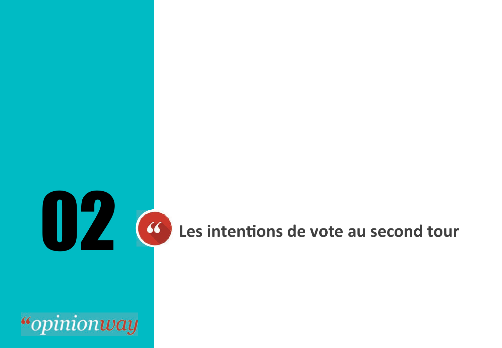

# Les intentions de vote au second tour

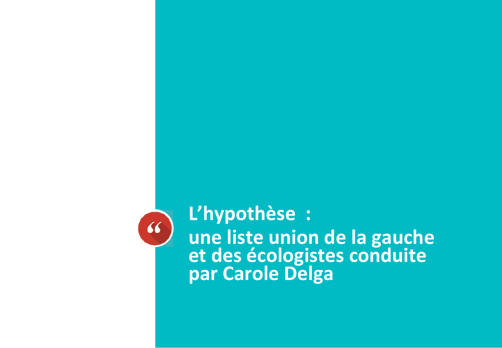

L'hypothèse : une liste union de la gauche<br>et des écologistes conduite<br>par Carole Delga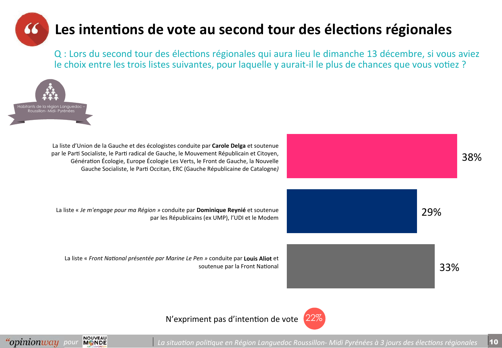Q : Lors du second tour des élections régionales qui aura lieu le dimanche 13 décembre, si vous aviez le choix entre les trois listes suivantes, pour laquelle y aurait-il le plus de chances que vous votiez ?

La liste d'Union de la Gauche et des écologistes conduite par Carole Delga et soutenue par le Parti Socialiste, le Parti radical de Gauche, le Mouvement Républicain et Citoyen, Génération Écologie, Europe Écologie Les Verts, le Front de Gauche, la Nouvelle Gauche Socialiste, le Parti Occitan, ERC (Gauche Républicaine de Catalogne)

"

Roussillon- Midi- Pyrénées

**NOUVEAU** 

**MWNDE** 

pour

"opinionway

La liste « Je m'engage pour ma Région » conduite par Dominique Reynié et soutenue par les Républicains (ex UMP), l'UDI et le Modem

La liste « Front National présentée par Marine Le Pen » conduite par Louis Aliot et soutenue par la Front National



N'expriment pas d'intention de vote

10 La situation politique en Région Languedoc Roussillon- Midi Pyrénées à 3 jours des élections régionales

38%

29%

33%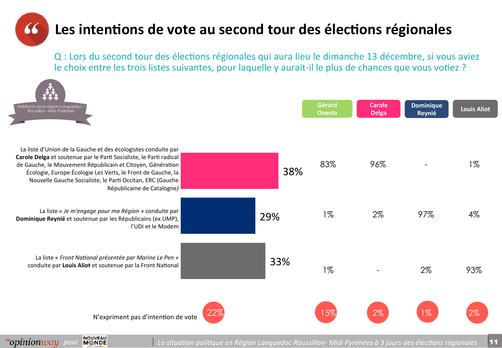66

**MANDE** 

pour

Q : Lors du second tour des élections régionales qui aura lieu le dimanche 13 décembre, si vous aviez le choix entre les trois listes suivantes, pour laquelle y aurait-il le plus de chances que vous votiez ?



La situation politique en Région Languedoc Roussillon- Midi Pyrénées à 3 jours des élections régionales

 $\vert$ 11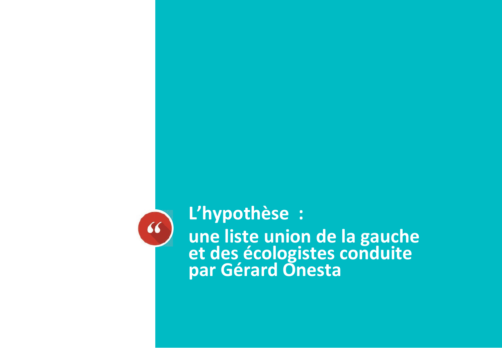

L'hypothèse : une liste union de la gauche<br>et des écologistes conduite<br>par Gérard Onesta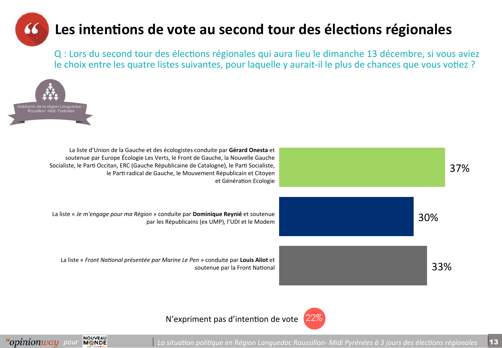Q : Lors du second tour des élections régionales qui aura lieu le dimanche 13 décembre, si vous aviez le choix entre les quatre listes suivantes, pour laquelle y aurait-il le plus de chances que vous votiez ?



**NOUVEAU** 

**MWNDE** 

"opinionway pour

66





N'expriment pas d'intention de vote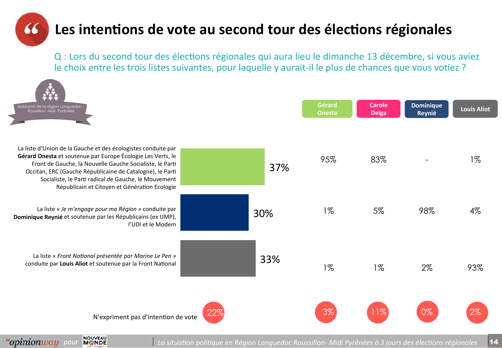Q : Lors du second tour des élections régionales qui aura lieu le dimanche 13 décembre, si vous aviez le choix entre les trois listes suivantes, pour laquelle y aurait-il le plus de chances que vous votiez ?



"opinionway **MANDE** pour

66

La situation politique en Région Languedoc Roussillon- Midi Pyrénées à 3 jours des élections régionales

 $\vert$ 14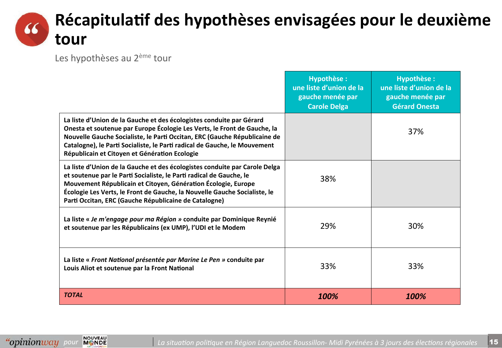

# Récapitulatif des hypothèses envisagées pour le deuxième tour

Les hypothèses au 2<sup>ème</sup> tour

|                                                                                                                                                                                                                                                                                                                                                             | Hypothèse :<br>une liste d'union de la<br>gauche menée par<br><b>Carole Delga</b> | Hypothèse :<br>une liste d'union de la<br>gauche menée par<br><b>Gérard Onesta</b> |  |  |
|-------------------------------------------------------------------------------------------------------------------------------------------------------------------------------------------------------------------------------------------------------------------------------------------------------------------------------------------------------------|-----------------------------------------------------------------------------------|------------------------------------------------------------------------------------|--|--|
| La liste d'Union de la Gauche et des écologistes conduite par Gérard<br>Onesta et soutenue par Europe Écologie Les Verts, le Front de Gauche, la<br>Nouvelle Gauche Socialiste, le Parti Occitan, ERC (Gauche Républicaine de<br>Catalogne), le Parti Socialiste, le Parti radical de Gauche, le Mouvement<br>Républicain et Citoyen et Génération Ecologie |                                                                                   | 37%                                                                                |  |  |
| La liste d'Union de la Gauche et des écologistes conduite par Carole Delga<br>et soutenue par le Parti Socialiste, le Parti radical de Gauche, le<br>Mouvement Républicain et Citoyen, Génération Écologie, Europe<br>Écologie Les Verts, le Front de Gauche, la Nouvelle Gauche Socialiste, le<br>Parti Occitan, ERC (Gauche Républicaine de Catalogne)    | 38%                                                                               |                                                                                    |  |  |
| La liste « Je m'engage pour ma Région » conduite par Dominique Reynié<br>et soutenue par les Républicains (ex UMP), l'UDI et le Modem                                                                                                                                                                                                                       | 29%                                                                               | 30%                                                                                |  |  |
| La liste « Front National présentée par Marine Le Pen » conduite par<br>Louis Aliot et soutenue par la Front National                                                                                                                                                                                                                                       | 33%                                                                               | 33%                                                                                |  |  |
| <b>TOTAL</b>                                                                                                                                                                                                                                                                                                                                                | 100%                                                                              | 100%                                                                               |  |  |